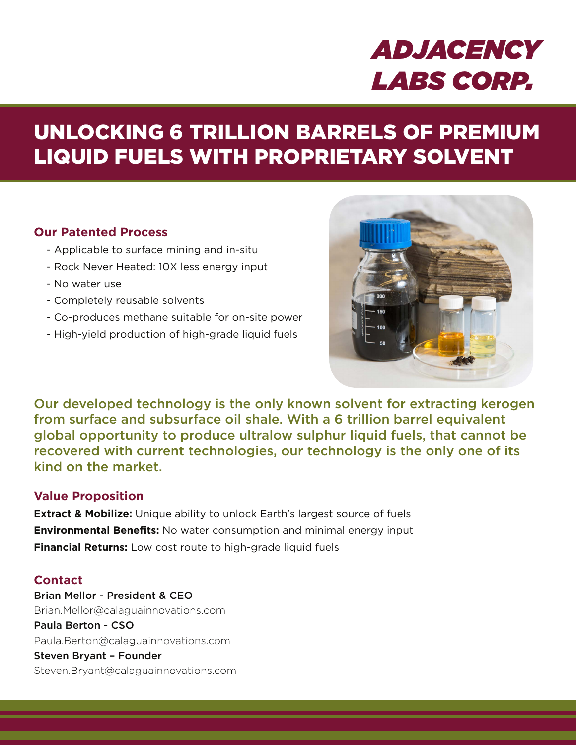# *ADJACENCY LABS CORP.*

## UNLOCKING 6 TRILLION BARRELS OF PREMIUM LIQUID FUELS WITH PROPRIETARY SOLVENT

#### **Our Patented Process**

- Applicable to surface mining and in-situ
- Rock Never Heated: 10X less energy input
- No water use
- Completely reusable solvents
- Co-produces methane suitable for on-site power
- High-yield production of high-grade liquid fuels



Our developed technology is the only known solvent for extracting kerogen from surface and subsurface oil shale. With a 6 trillion barrel equivalent global opportunity to produce ultralow sulphur liquid fuels, that cannot be recovered with current technologies, our technology is the only one of its kind on the market.

#### **Value Proposition**

**Extract & Mobilize:** Unique ability to unlock Earth's largest source of fuels **Environmental Benefits:** No water consumption and minimal energy input **Financial Returns:** Low cost route to high-grade liquid fuels

#### **Contact**

Brian Mellor - President & CEO Brian.Mellor@calaguainnovations.com Paula Berton - CSO Paula.Berton@calaguainnovations.com Steven Bryant – Founder Steven.Bryant@calaguainnovations.com